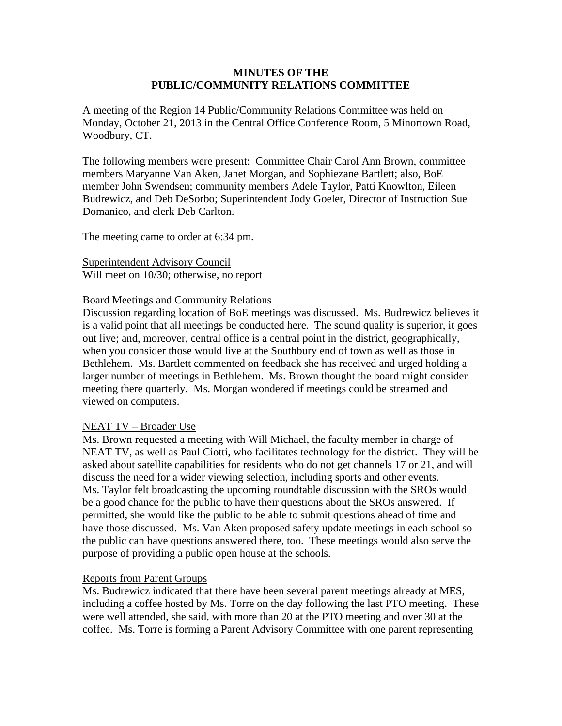#### **MINUTES OF THE PUBLIC/COMMUNITY RELATIONS COMMITTEE**

A meeting of the Region 14 Public/Community Relations Committee was held on Monday, October 21, 2013 in the Central Office Conference Room, 5 Minortown Road, Woodbury, CT.

The following members were present: Committee Chair Carol Ann Brown, committee members Maryanne Van Aken, Janet Morgan, and Sophiezane Bartlett; also, BoE member John Swendsen; community members Adele Taylor, Patti Knowlton, Eileen Budrewicz, and Deb DeSorbo; Superintendent Jody Goeler, Director of Instruction Sue Domanico, and clerk Deb Carlton.

The meeting came to order at 6:34 pm.

Superintendent Advisory Council Will meet on 10/30; otherwise, no report

#### Board Meetings and Community Relations

Discussion regarding location of BoE meetings was discussed. Ms. Budrewicz believes it is a valid point that all meetings be conducted here. The sound quality is superior, it goes out live; and, moreover, central office is a central point in the district, geographically, when you consider those would live at the Southbury end of town as well as those in Bethlehem. Ms. Bartlett commented on feedback she has received and urged holding a larger number of meetings in Bethlehem. Ms. Brown thought the board might consider meeting there quarterly. Ms. Morgan wondered if meetings could be streamed and viewed on computers.

#### NEAT TV – Broader Use

Ms. Brown requested a meeting with Will Michael, the faculty member in charge of NEAT TV, as well as Paul Ciotti, who facilitates technology for the district. They will be asked about satellite capabilities for residents who do not get channels 17 or 21, and will discuss the need for a wider viewing selection, including sports and other events. Ms. Taylor felt broadcasting the upcoming roundtable discussion with the SROs would be a good chance for the public to have their questions about the SROs answered. If permitted, she would like the public to be able to submit questions ahead of time and have those discussed. Ms. Van Aken proposed safety update meetings in each school so the public can have questions answered there, too. These meetings would also serve the purpose of providing a public open house at the schools.

#### Reports from Parent Groups

Ms. Budrewicz indicated that there have been several parent meetings already at MES, including a coffee hosted by Ms. Torre on the day following the last PTO meeting. These were well attended, she said, with more than 20 at the PTO meeting and over 30 at the coffee. Ms. Torre is forming a Parent Advisory Committee with one parent representing